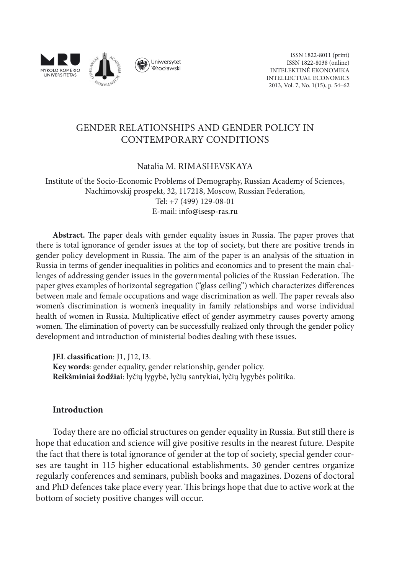

# GENDER RELATIONSHIPS AND GENDER POLICY IN CONTEMPORARY CONDITIONS

## Natalia M. Rimashevskaya

Institute of the Socio-Economic Problems of Demography, Russian Academy of Sciences, Nachimovskij prospekt, 32, 117218, Moscow, Russian Federation, Tel: +7 (499) 129-08-01 E-mail: info@isesp-ras.ru

**Abstract.** The paper deals with gender equality issues in Russia. The paper proves that there is total ignorance of gender issues at the top of society, but there are positive trends in gender policy development in Russia. The aim of the paper is an analysis of the situation in Russia in terms of gender inequalities in politics and economics and to present the main challenges of addressing gender issues in the governmental policies of the Russian Federation. The paper gives examples of horizontal segregation ("glass ceiling") which characterizes differences between male and female occupations and wage discrimination as well. The paper reveals also women's discrimination is women's inequality in family relationships and worse individual health of women in Russia. Multiplicative effect of gender asymmetry causes poverty among women. The elimination of poverty can be successfully realized only through the gender policy development and introduction of ministerial bodies dealing with these issues.

**JEL classification**: J1, J12, I3. **Key words**: gender equality, gender relationship, gender policy. **Reikšminiai žodžiai**: lyčių lygybė, lyčių santykiai, lyčių lygybės politika.

## **Introduction**

Today there are no official structures on gender equality in Russia. But still there is hope that education and science will give positive results in the nearest future. Despite the fact that there is total ignorance of gender at the top of society, special gender courses are taught in 115 higher educational establishments. 30 gender centres organize regularly conferences and seminars, publish books and magazines. Dozens of doctoral and PhD defences take place every year. This brings hope that due to active work at the bottom of society positive changes will occur.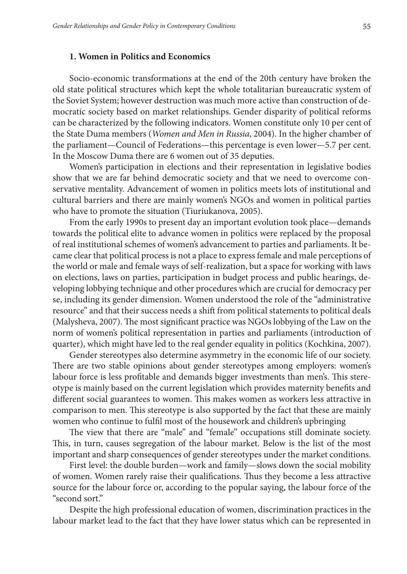## **1. Women in Politics and Economics**

Socio-economic transformations at the end of the 20th century have broken the old state political structures which kept the whole totalitarian bureaucratic system of the Soviet System; however destruction was much more active than construction of democratic society based on market relationships. Gender disparity of political reforms can be characterized by the following indicators. Women constitute only 10 per cent of the State Duma members (*Women and Men in Russia*, 2004). In the higher chamber of the parliament—Council of Federations—this percentage is even lower—5.7 per cent. In the Moscow Duma there are 6 women out of 35 deputies.

Women's participation in elections and their representation in legislative bodies show that we are far behind democratic society and that we need to overcome conservative mentality. Advancement of women in politics meets lots of institutional and cultural barriers and there are mainly women's NGOs and women in political parties who have to promote the situation (Tiuriukanova, 2005).

From the early 1990s to present day an important evolution took place—demands towards the political elite to advance women in politics were replaced by the proposal of real institutional schemes of women's advancement to parties and parliaments. It became clear that political process is not a place to express female and male perceptions of the world or male and female ways of self-realization, but a space for working with laws on elections, laws on parties, participation in budget process and public hearings, developing lobbying technique and other procedures which are crucial for democracy per se, including its gender dimension. Women understood the role of the "administrative resource" and that their success needs a shift from political statements to political deals (Malysheva, 2007). The most significant practice was NGOs lobbying of the Law on the norm of women's political representation in parties and parliaments (introduction of quarter), which might have led to the real gender equality in politics (Kochkina, 2007).

Gender stereotypes also determine asymmetry in the economic life of our society. There are two stable opinions about gender stereotypes among employers: women's labour force is less profitable and demands bigger investments than men's. This stereotype is mainly based on the current legislation which provides maternity benefits and different social guarantees to women. This makes women as workers less attractive in comparison to men. This stereotype is also supported by the fact that these are mainly women who continue to fulfil most of the housework and children's upbringing

The view that there are "male" and "female" occupations still dominate society. This, in turn, causes segregation of the labour market. Below is the list of the most important and sharp consequences of gender stereotypes under the market conditions.

First level: the double burden—work and family—slows down the social mobility of women. Women rarely raise their qualifications. Thus they become a less attractive source for the labour force or, according to the popular saying, the labour force of the "second sort."

Despite the high professional education of women, discrimination practices in the labour market lead to the fact that they have lower status which can be represented in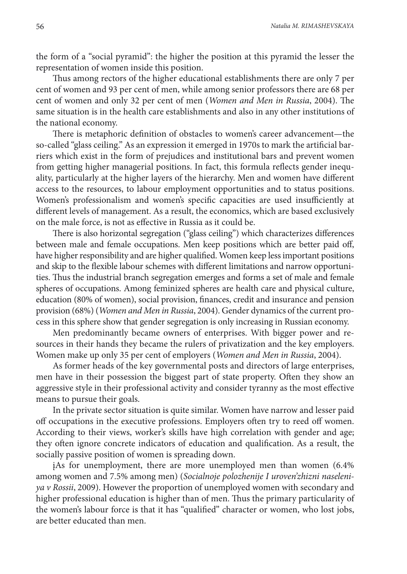the form of a "social pyramid": the higher the position at this pyramid the lesser the representation of women inside this position.

Thus among rectors of the higher educational establishments there are only 7 per cent of women and 93 per cent of men, while among senior professors there are 68 per cent of women and only 32 per cent of men (*Women and Men in Russia*, 2004). The same situation is in the health care establishments and also in any other institutions of the national economy.

There is metaphoric definition of obstacles to women's career advancement—the so-called "glass ceiling." As an expression it emerged in 1970s to mark the artificial barriers which exist in the form of prejudices and institutional bars and prevent women from getting higher managerial positions. In fact, this formula reflects gender inequality, particularly at the higher layers of the hierarchy. Men and women have different access to the resources, to labour employment opportunities and to status positions. Women's professionalism and women's specific capacities are used insufficiently at different levels of management. As a result, the economics, which are based exclusively on the male force, is not as effective in Russia as it could be.

There is also horizontal segregation ("glass ceiling") which characterizes differences between male and female occupations. Men keep positions which are better paid off, have higher responsibility and are higher qualified. Women keep less important positions and skip to the flexible labour schemes with different limitations and narrow opportunities. Thus the industrial branch segregation emerges and forms a set of male and female spheres of occupations. Among feminized spheres are health care and physical culture, education (80% of women), social provision, finances, credit and insurance and pension provision (68%) (*Women and Men in Russia*, 2004). Gender dynamics of the current process in this sphere show that gender segregation is only increasing in Russian economy.

Men predominantly became owners of enterprises. With bigger power and resources in their hands they became the rulers of privatization and the key employers. Women make up only 35 per cent of employers (*Women and Men in Russia*, 2004).

As former heads of the key governmental posts and directors of large enterprises, men have in their possession the biggest part of state property. Often they show an aggressive style in their professional activity and consider tyranny as the most effective means to pursue their goals.

In the private sector situation is quite similar. Women have narrow and lesser paid off occupations in the executive professions. Employers often try to reed off women. According to their views, worker's skills have high correlation with gender and age; they often ignore concrete indicators of education and qualification. As a result, the socially passive position of women is spreading down.

įAs for unemployment, there are more unemployed men than women (6.4% among women and 7.5% among men) (*Socialnoje polozhenije I uroven'zhizni naseleniya v Rossii*, 2009). However the proportion of unemployed women with secondary and higher professional education is higher than of men. Thus the primary particularity of the women's labour force is that it has "qualified" character or women, who lost jobs, are better educated than men.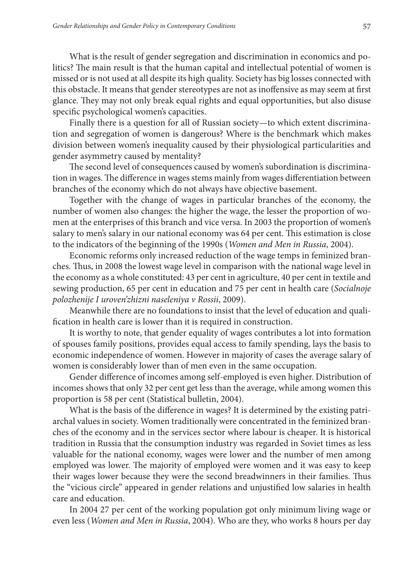What is the result of gender segregation and discrimination in economics and politics? The main result is that the human capital and intellectual potential of women is missed or is not used at all despite its high quality. Society has big losses connected with this obstacle. It means that gender stereotypes are not as inoffensive as may seem at first glance. They may not only break equal rights and equal opportunities, but also disuse specific psychological women's capacities.

Finally there is a question for all of Russian society—to which extent discrimination and segregation of women is dangerous? Where is the benchmark which makes division between women's inequality caused by their physiological particularities and gender asymmetry caused by mentality?

The second level of consequences caused by women's subordination is discrimination in wages. The difference in wages stems mainly from wages differentiation between branches of the economy which do not always have objective basement.

Together with the change of wages in particular branches of the economy, the number of women also changes: the higher the wage, the lesser the proportion of women at the enterprises of this branch and vice versa. In 2003 the proportion of women's salary to men's salary in our national economy was 64 per cent. This estimation is close to the indicators of the beginning of the 1990s (*Women and Men in Russia*, 2004).

Economic reforms only increased reduction of the wage temps in feminized branches. Thus, in 2008 the lowest wage level in comparison with the national wage level in the economy as a whole constituted: 43 per cent in agriculture, 40 per cent in textile and sewing production, 65 per cent in education and 75 per cent in health care (*Socialnoje polozhenije I uroven'zhizni naseleniya v Rossii*, 2009).

Meanwhile there are no foundations to insist that the level of education and qualification in health care is lower than it is required in construction.

It is worthy to note, that gender equality of wages contributes a lot into formation of spouses family positions, provides equal access to family spending, lays the basis to economic independence of women. However in majority of cases the average salary of women is considerably lower than of men even in the same occupation.

Gender difference of incomes among self-employed is even higher. Distribution of incomes shows that only 32 per cent get less than the average, while among women this proportion is 58 per cent (Statistical bulletin, 2004).

What is the basis of the difference in wages? It is determined by the existing patriarchal values in society. Women traditionally were concentrated in the feminized branches of the economy and in the services sector where labour is cheaper. It is historical tradition in Russia that the consumption industry was regarded in Soviet times as less valuable for the national economy, wages were lower and the number of men among employed was lower. The majority of employed were women and it was easy to keep their wages lower because they were the second breadwinners in their families. Thus the "vicious circle" appeared in gender relations and unjustified low salaries in health care and education.

In 2004 27 per cent of the working population got only minimum living wage or even less (*Women and Men in Russia*, 2004). Who are they, who works 8 hours per day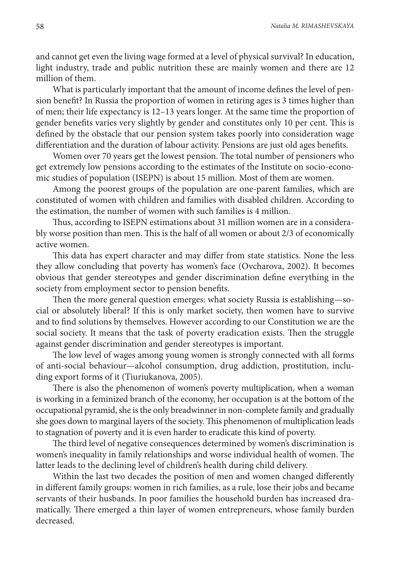and cannot get even the living wage formed at a level of physical survival? In education, light industry, trade and public nutrition these are mainly women and there are 12 million of them.

What is particularly important that the amount of income defines the level of pension benefit? In Russia the proportion of women in retiring ages is 3 times higher than of men; their life expectancy is 12–13 years longer. At the same time the proportion of gender benefits varies very slightly by gender and constitutes only 10 per cent. This is defined by the obstacle that our pension system takes poorly into consideration wage differentiation and the duration of labour activity. Pensions are just old ages benefits.

Women over 70 years get the lowest pension. The total number of pensioners who get extremely low pensions according to the estimates of the Institute on socio-economic studies of population (ISEPN) is about 15 million. Most of them are women.

Among the poorest groups of the population are one-parent families, which are constituted of women with children and families with disabled children. According to the estimation, the number of women with such families is 4 million.

Thus, according to ISEPN estimations about 31 million women are in a considerably worse position than men. This is the half of all women or about 2/3 of economically active women.

This data has expert character and may differ from state statistics. None the less they allow concluding that poverty has women's face (Ovcharova, 2002). It becomes obvious that gender stereotypes and gender discrimination define everything in the society from employment sector to pension benefits.

Then the more general question emerges: what society Russia is establishing—social or absolutely liberal? If this is only market society, then women have to survive and to find solutions by themselves. However according to our Constitution we are the social society. It means that the task of poverty eradication exists. Then the struggle against gender discrimination and gender stereotypes is important.

The low level of wages among young women is strongly connected with all forms of anti-social behaviour—alcohol consumption, drug addiction, prostitution, including export forms of it (Tiuriukanova, 2005).

There is also the phenomenon of women's poverty multiplication, when a woman is working in a feminized branch of the economy, her occupation is at the bottom of the occupational pyramid, she is the only breadwinner in non-complete family and gradually she goes down to marginal layers of the society. This phenomenon of multiplication leads to stagnation of poverty and it is even harder to eradicate this kind of poverty.

The third level of negative consequences determined by women's discrimination is women's inequality in family relationships and worse individual health of women. The latter leads to the declining level of children's health during child delivery.

Within the last two decades the position of men and women changed differently in different family groups: women in rich families, as a rule, lose their jobs and became servants of their husbands. In poor families the household burden has increased dramatically. There emerged a thin layer of women entrepreneurs, whose family burden decreased.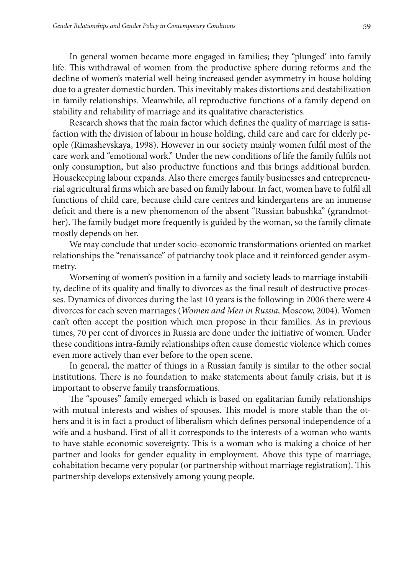In general women became more engaged in families; they "plunged' into family life. This withdrawal of women from the productive sphere during reforms and the decline of women's material well-being increased gender asymmetry in house holding due to a greater domestic burden. This inevitably makes distortions and destabilization in family relationships. Meanwhile, all reproductive functions of a family depend on stability and reliability of marriage and its qualitative characteristics.

Research shows that the main factor which defines the quality of marriage is satisfaction with the division of labour in house holding, child care and care for elderly people (Rimashevskaya, 1998). However in our society mainly women fulfil most of the care work and "emotional work." Under the new conditions of life the family fulfils not only consumption, but also productive functions and this brings additional burden. Housekeeping labour expands. Also there emerges family businesses and entrepreneurial agricultural firms which are based on family labour. In fact, women have to fulfil all functions of child care, because child care centres and kindergartens are an immense deficit and there is a new phenomenon of the absent "Russian babushka" (grandmother). The family budget more frequently is guided by the woman, so the family climate mostly depends on her.

We may conclude that under socio-economic transformations oriented on market relationships the "renaissance" of patriarchy took place and it reinforced gender asymmetry.

Worsening of women's position in a family and society leads to marriage instability, decline of its quality and finally to divorces as the final result of destructive processes. Dynamics of divorces during the last 10 years is the following: in 2006 there were 4 divorces for each seven marriages (*Women and Men in Russia,* Moscow, 2004). Women can't often accept the position which men propose in their families. As in previous times, 70 per cent of divorces in Russia are done under the initiative of women. Under these conditions intra-family relationships often cause domestic violence which comes even more actively than ever before to the open scene.

In general, the matter of things in a Russian family is similar to the other social institutions. There is no foundation to make statements about family crisis, but it is important to observe family transformations.

The "spouses" family emerged which is based on egalitarian family relationships with mutual interests and wishes of spouses. This model is more stable than the others and it is in fact a product of liberalism which defines personal independence of a wife and a husband. First of all it corresponds to the interests of a woman who wants to have stable economic sovereignty. This is a woman who is making a choice of her partner and looks for gender equality in employment. Above this type of marriage, cohabitation became very popular (or partnership without marriage registration). This partnership develops extensively among young people.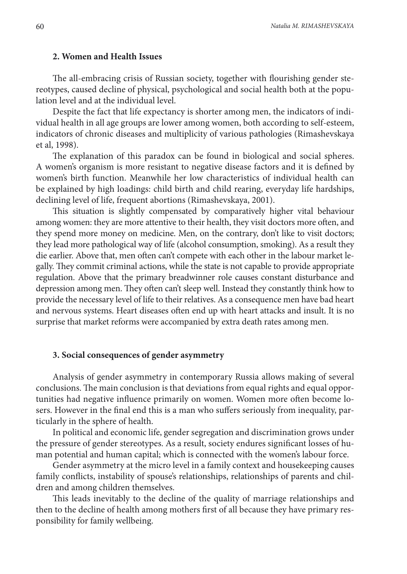## **2. Women and Health Issues**

The all-embracing crisis of Russian society, together with flourishing gender stereotypes, caused decline of physical, psychological and social health both at the population level and at the individual level.

Despite the fact that life expectancy is shorter among men, the indicators of individual health in all age groups are lower among women, both according to self-esteem, indicators of chronic diseases and multiplicity of various pathologies (Rimashevskaya et al, 1998).

The explanation of this paradox can be found in biological and social spheres. A women's organism is more resistant to negative disease factors and it is defined by women's birth function. Meanwhile her low characteristics of individual health can be explained by high loadings: child birth and child rearing, everyday life hardships, declining level of life, frequent abortions (Rimashevskaya, 2001).

This situation is slightly compensated by comparatively higher vital behaviour among women: they are more attentive to their health, they visit doctors more often, and they spend more money on medicine. Men, on the contrary, don't like to visit doctors; they lead more pathological way of life (alcohol consumption, smoking). As a result they die earlier. Above that, men often can't compete with each other in the labour market legally. They commit criminal actions, while the state is not capable to provide appropriate regulation. Above that the primary breadwinner role causes constant disturbance and depression among men. They often can't sleep well. Instead they constantly think how to provide the necessary level of life to their relatives. As a consequence men have bad heart and nervous systems. Heart diseases often end up with heart attacks and insult. It is no surprise that market reforms were accompanied by extra death rates among men.

#### **3. Social consequences of gender asymmetry**

Analysis of gender asymmetry in contemporary Russia allows making of several conclusions. The main conclusion is that deviations from equal rights and equal opportunities had negative influence primarily on women. Women more often become losers. However in the final end this is a man who suffers seriously from inequality, particularly in the sphere of health.

In political and economic life, gender segregation and discrimination grows under the pressure of gender stereotypes. As a result, society endures significant losses of human potential and human capital; which is connected with the women's labour force.

Gender asymmetry at the micro level in a family context and housekeeping causes family conflicts, instability of spouse's relationships, relationships of parents and children and among children themselves.

This leads inevitably to the decline of the quality of marriage relationships and then to the decline of health among mothers first of all because they have primary responsibility for family wellbeing.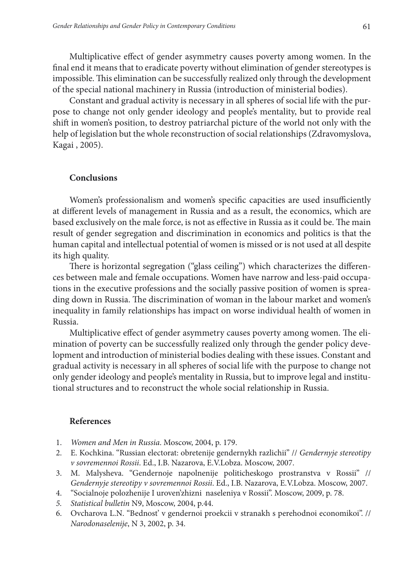Multiplicative effect of gender asymmetry causes poverty among women. In the final end it means that to eradicate poverty without elimination of gender stereotypes is impossible. This elimination can be successfully realized only through the development of the special national machinery in Russia (introduction of ministerial bodies).

Constant and gradual activity is necessary in all spheres of social life with the purpose to change not only gender ideology and people's mentality, but to provide real shift in women's position, to destroy patriarchal picture of the world not only with the help of legislation but the whole reconstruction of social relationships (Zdravomyslova, Kagai , 2005).

## **Conclusions**

Women's professionalism and women's specific capacities are used insufficiently at different levels of management in Russia and as a result, the economics, which are based exclusively on the male force, is not as effective in Russia as it could be. The main result of gender segregation and discrimination in economics and politics is that the human capital and intellectual potential of women is missed or is not used at all despite its high quality.

There is horizontal segregation ("glass ceiling") which characterizes the differences between male and female occupations. Women have narrow and less-paid occupations in the executive professions and the socially passive position of women is spreading down in Russia. The discrimination of woman in the labour market and women's inequality in family relationships has impact on worse individual health of women in Russia.

Multiplicative effect of gender asymmetry causes poverty among women. The elimination of poverty can be successfully realized only through the gender policy development and introduction of ministerial bodies dealing with these issues. Constant and gradual activity is necessary in all spheres of social life with the purpose to change not only gender ideology and people's mentality in Russia, but to improve legal and institutional structures and to reconstruct the whole social relationship in Russia.

## **References**

- 1. *Women and Men in Russia*. Moscow, 2004, p. 179.
- 2. E. Kochkina. "Russian electorat: obretenije gendernykh razlichii" // *Gendernyje stereotipy v sovremennoi Rossii*. Ed., I.B. Nazarova, E.V.Lobza. Мoscow, 2007.
- 3. M. Malysheva. "Gendernoje napolnenije politicheskogo prostranstva v Rossii" // *Gendernyje stereotipy v sovremennoi Rossii*. Ed., I.B. Nazarova, E.V.Lobza. Мoscow, 2007.
- 4. "Socialnoje polozhenije I uroven'zhizni naseleniya v Rossii". Moscow, 2009, p. 78.
- *5. Statistical bulletin* N9, Moscow, 2004, p.44.
- 6. Ovcharova L.N. "Bednost' v gendernoi proekcii v stranakh s perehodnoi economikoi". // *Narodonaselenije*, N 3, 2002, p. 34.